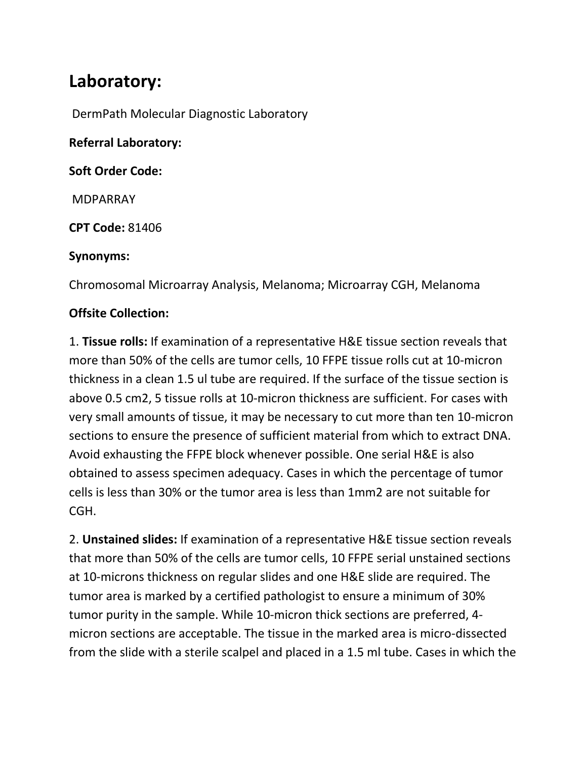# **Laboratory:**

DermPath Molecular Diagnostic Laboratory

**Referral Laboratory:**

**Soft Order Code:**

MDPARRAY

**CPT Code:** 81406

#### **Synonyms:**

Chromosomal Microarray Analysis, Melanoma; Microarray CGH, Melanoma

#### **Offsite Collection:**

1. **Tissue rolls:** If examination of a representative H&E tissue section reveals that more than 50% of the cells are tumor cells, 10 FFPE tissue rolls cut at 10-micron thickness in a clean 1.5 ul tube are required. If the surface of the tissue section is above 0.5 cm2, 5 tissue rolls at 10-micron thickness are sufficient. For cases with very small amounts of tissue, it may be necessary to cut more than ten 10-micron sections to ensure the presence of sufficient material from which to extract DNA. Avoid exhausting the FFPE block whenever possible. One serial H&E is also obtained to assess specimen adequacy. Cases in which the percentage of tumor cells is less than 30% or the tumor area is less than 1mm2 are not suitable for CGH.

2. **Unstained slides:** If examination of a representative H&E tissue section reveals that more than 50% of the cells are tumor cells, 10 FFPE serial unstained sections at 10-microns thickness on regular slides and one H&E slide are required. The tumor area is marked by a certified pathologist to ensure a minimum of 30% tumor purity in the sample. While 10-micron thick sections are preferred, 4 micron sections are acceptable. The tissue in the marked area is micro-dissected from the slide with a sterile scalpel and placed in a 1.5 ml tube. Cases in which the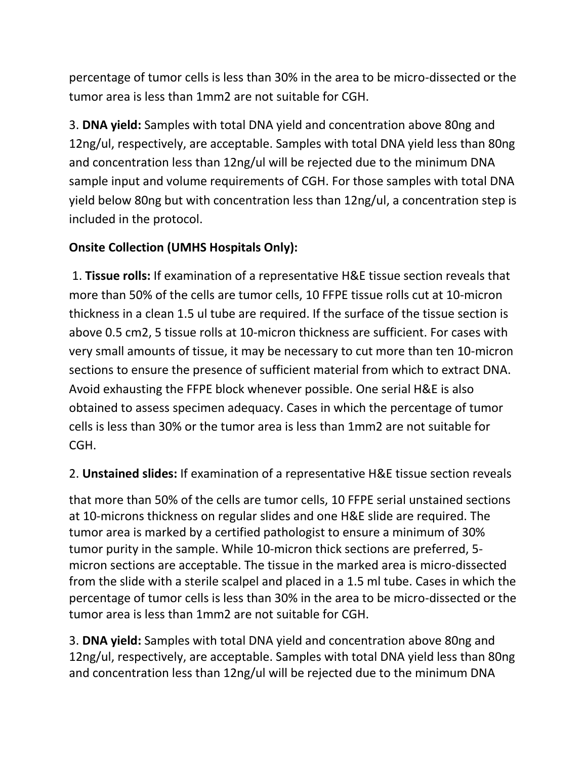percentage of tumor cells is less than 30% in the area to be micro-dissected or the tumor area is less than 1mm2 are not suitable for CGH.

3. **DNA yield:** Samples with total DNA yield and concentration above 80ng and 12ng/ul, respectively, are acceptable. Samples with total DNA yield less than 80ng and concentration less than 12ng/ul will be rejected due to the minimum DNA sample input and volume requirements of CGH. For those samples with total DNA yield below 80ng but with concentration less than 12ng/ul, a concentration step is included in the protocol.

# **Onsite Collection (UMHS Hospitals Only):**

1. **Tissue rolls:** If examination of a representative H&E tissue section reveals that more than 50% of the cells are tumor cells, 10 FFPE tissue rolls cut at 10-micron thickness in a clean 1.5 ul tube are required. If the surface of the tissue section is above 0.5 cm2, 5 tissue rolls at 10-micron thickness are sufficient. For cases with very small amounts of tissue, it may be necessary to cut more than ten 10-micron sections to ensure the presence of sufficient material from which to extract DNA. Avoid exhausting the FFPE block whenever possible. One serial H&E is also obtained to assess specimen adequacy. Cases in which the percentage of tumor cells is less than 30% or the tumor area is less than 1mm2 are not suitable for CGH.

# 2. **Unstained slides:** If examination of a representative H&E tissue section reveals

that more than 50% of the cells are tumor cells, 10 FFPE serial unstained sections at 10-microns thickness on regular slides and one H&E slide are required. The tumor area is marked by a certified pathologist to ensure a minimum of 30% tumor purity in the sample. While 10-micron thick sections are preferred, 5 micron sections are acceptable. The tissue in the marked area is micro-dissected from the slide with a sterile scalpel and placed in a 1.5 ml tube. Cases in which the percentage of tumor cells is less than 30% in the area to be micro-dissected or the tumor area is less than 1mm2 are not suitable for CGH.

3. **DNA yield:** Samples with total DNA yield and concentration above 80ng and 12ng/ul, respectively, are acceptable. Samples with total DNA yield less than 80ng and concentration less than 12ng/ul will be rejected due to the minimum DNA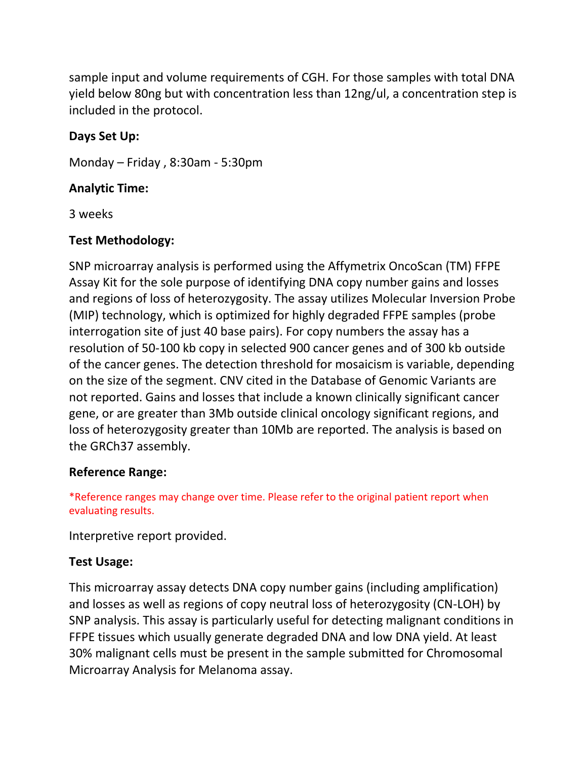sample input and volume requirements of CGH. For those samples with total DNA yield below 80ng but with concentration less than 12ng/ul, a concentration step is included in the protocol.

### **Days Set Up:**

Monday – Friday , 8:30am - 5:30pm

#### **Analytic Time:**

3 weeks

#### **Test Methodology:**

SNP microarray analysis is performed using the Affymetrix OncoScan (TM) FFPE Assay Kit for the sole purpose of identifying DNA copy number gains and losses and regions of loss of heterozygosity. The assay utilizes Molecular Inversion Probe (MIP) technology, which is optimized for highly degraded FFPE samples (probe interrogation site of just 40 base pairs). For copy numbers the assay has a resolution of 50-100 kb copy in selected 900 cancer genes and of 300 kb outside of the cancer genes. The detection threshold for mosaicism is variable, depending on the size of the segment. CNV cited in the Database of Genomic Variants are not reported. Gains and losses that include a known clinically significant cancer gene, or are greater than 3Mb outside clinical oncology significant regions, and loss of heterozygosity greater than 10Mb are reported. The analysis is based on the GRCh37 assembly.

#### **Reference Range:**

\*Reference ranges may change over time. Please refer to the original patient report when evaluating results.

Interpretive report provided.

#### **Test Usage:**

This microarray assay detects DNA copy number gains (including amplification) and losses as well as regions of copy neutral loss of heterozygosity (CN-LOH) by SNP analysis. This assay is particularly useful for detecting malignant conditions in FFPE tissues which usually generate degraded DNA and low DNA yield. At least 30% malignant cells must be present in the sample submitted for Chromosomal Microarray Analysis for Melanoma assay.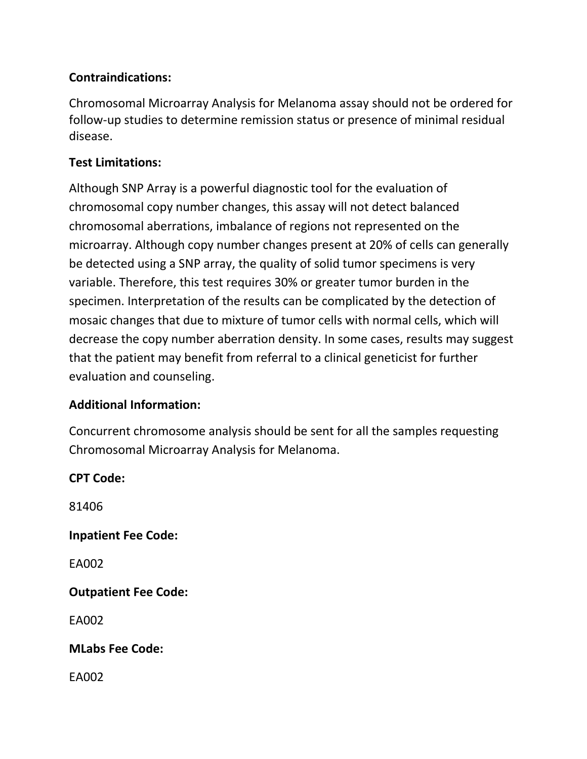## **Contraindications:**

Chromosomal Microarray Analysis for Melanoma assay should not be ordered for follow-up studies to determine remission status or presence of minimal residual disease.

#### **Test Limitations:**

Although SNP Array is a powerful diagnostic tool for the evaluation of chromosomal copy number changes, this assay will not detect balanced chromosomal aberrations, imbalance of regions not represented on the microarray. Although copy number changes present at 20% of cells can generally be detected using a SNP array, the quality of solid tumor specimens is very variable. Therefore, this test requires 30% or greater tumor burden in the specimen. Interpretation of the results can be complicated by the detection of mosaic changes that due to mixture of tumor cells with normal cells, which will decrease the copy number aberration density. In some cases, results may suggest that the patient may benefit from referral to a clinical geneticist for further evaluation and counseling.

#### **Additional Information:**

Concurrent chromosome analysis should be sent for all the samples requesting Chromosomal Microarray Analysis for Melanoma.

**CPT Code:**  81406 **Inpatient Fee Code:** EA002 **Outpatient Fee Code:**  EA002 **MLabs Fee Code:**  EA002